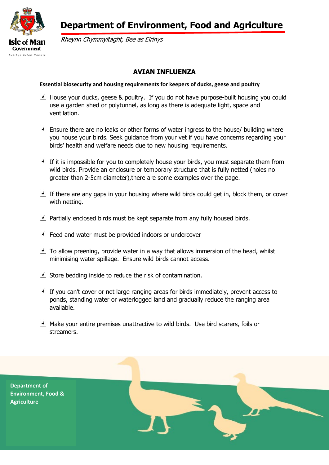

 **Department of Environment, Food and Agriculture**

Rheynn Chymmyltaght, Bee as Eirinys

## **AVIAN INFLUENZA**

## **Essential biosecurity and housing requirements for keepers of ducks, geese and poultry**

- $\leq$  House your ducks, geese & poultry. If you do not have purpose-built housing you could use a garden shed or polytunnel, as long as there is adequate light, space and ventilation.
- $\triangle$  Ensure there are no leaks or other forms of water ingress to the house/ building where you house your birds. Seek guidance from your vet if you have concerns regarding your birds' health and welfare needs due to new housing requirements.
- If it is impossible for you to completely house your birds, you must separate them from wild birds. Provide an enclosure or temporary structure that is fully netted (holes no greater than 2-5cm diameter),there are some examples over the page.
- If there are any gaps in your housing where wild birds could get in, block them, or cover with netting.
- Partially enclosed birds must be kept separate from any fully housed birds.
- $\epsilon$  Feed and water must be provided indoors or undercover
- $\triangle$  To allow preening, provide water in a way that allows immersion of the head, whilst minimising water spillage. Ensure wild birds cannot access.
- Store bedding inside to reduce the risk of contamination.
- If you can't cover or net large ranging areas for birds immediately, prevent access to ponds, standing water or waterlogged land and gradually reduce the ranging area available.
- $\triangle$  Make your entire premises unattractive to wild birds. Use bird scarers, foils or streamers.